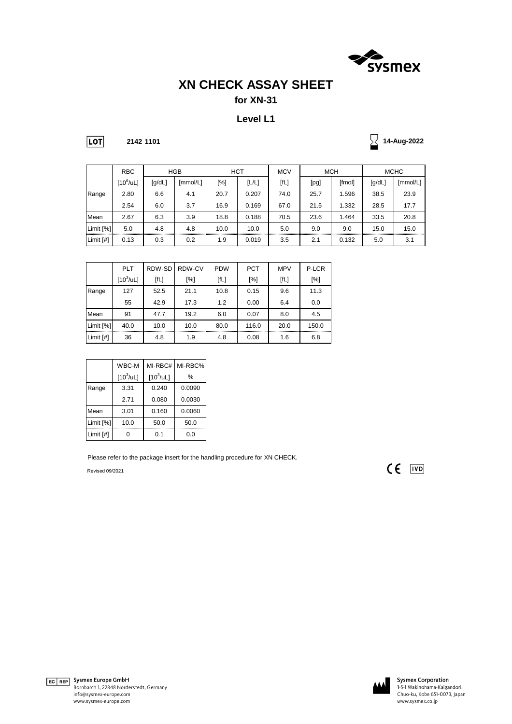

## **XN CHECK ASSAY SHEET**

### **for XN-31**

#### **Level L1**

**2142 1101**

**14-Aug-2022**

|           | <b>RBC</b>         |        | <b>HGB</b> | <b>HCT</b> |       | <b>MCV</b> | <b>MCH</b> |        | <b>MCHC</b> |          |
|-----------|--------------------|--------|------------|------------|-------|------------|------------|--------|-------------|----------|
|           | $[10^6/\text{uL}]$ | [g/dL] | [mmol/L]   | [%]        | [L/L] | [fL]       | [pg]       | [fmol] | [g/dL]      | [mmol/L] |
| Range     | 2.80               | 6.6    | 4.1        | 20.7       | 0.207 | 74.0       | 25.7       | 1.596  | 38.5        | 23.9     |
|           | 2.54               | 6.0    | 3.7        | 16.9       | 0.169 | 67.0       | 21.5       | 1.332  | 28.5        | 17.7     |
| Mean      | 2.67               | 6.3    | 3.9        | 18.8       | 0.188 | 70.5       | 23.6       | 1.464  | 33.5        | 20.8     |
| Limit [%] | 5.0                | 4.8    | 4.8        | 10.0       | 10.0  | 5.0        | 9.0        | 9.0    | 15.0        | 15.0     |
| Limit [#] | 0.13               | 0.3    | 0.2        | 1.9        | 0.019 | 3.5        | 2.1        | 0.132  | 5.0         | 3.1      |

|           | <b>PLT</b>         | RDW-SD | RDW-CV | <b>PDW</b> | <b>PCT</b> | <b>MPV</b> | P-LCR |
|-----------|--------------------|--------|--------|------------|------------|------------|-------|
|           | $[10^3/\text{uL}]$ | [fL]   | [%]    | [fL]       | [%]        | [fL]       | [%]   |
| Range     | 127                | 52.5   | 21.1   | 10.8       | 0.15       | 9.6        | 11.3  |
|           | 55                 | 42.9   | 17.3   | 1.2        | 0.00       | 6.4        | 0.0   |
| Mean      | 91                 | 47.7   | 19.2   | 6.0        | 0.07       | 8.0        | 4.5   |
| Limit [%] | 40.0               | 10.0   | 10.0   | 80.0       | 116.0      | 20.0       | 150.0 |
| Limit [#] | 36                 | 4.8    | 1.9    | 4.8        | 0.08       | 1.6        | 6.8   |

|           | WBC-M              | MI-RBC#            | MI-RBC% |
|-----------|--------------------|--------------------|---------|
|           | $[10^3/\text{uL}]$ | $[10^3/\text{uL}]$ | $\%$    |
| Range     | 3.31               | 0.240              | 0.0090  |
|           | 2.71               | 0.080              | 0.0030  |
| Mean      | 3.01               | 0.160              | 0.0060  |
| Limit [%] | 10.0               | 50.0               | 50.0    |
| Limit [#] |                    | 0.1                | 0.0     |

Please refer to the package insert for the handling procedure for XN CHECK.

Revised 09/2021

 $CE$   $\overline{IVD}$ 



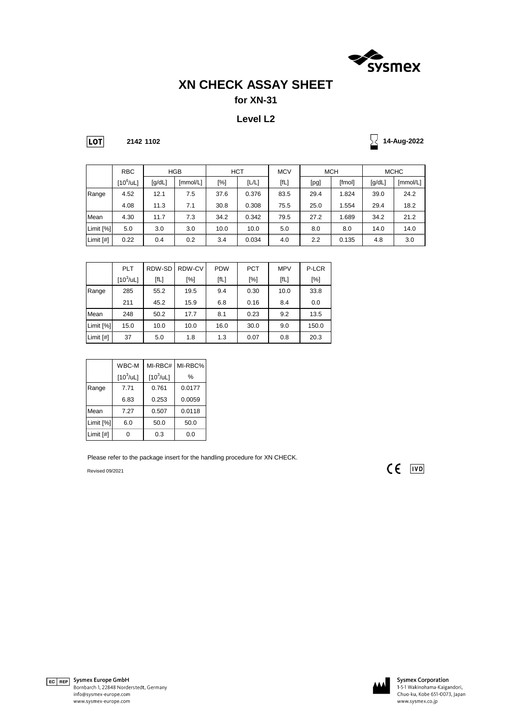

## **XN CHECK ASSAY SHEET**

### **for XN-31**

#### **Level L2**

**2142 1102**

**14-Aug-2022**

|           | <b>RBC</b>         |        | <b>HGB</b> |      | <b>HCT</b> |      | <b>MCH</b><br><b>MCV</b> |        | <b>MCHC</b> |          |
|-----------|--------------------|--------|------------|------|------------|------|--------------------------|--------|-------------|----------|
|           | $[10^6/\text{uL}]$ | [g/dL] | [mmol/L]   | [%]  | [L/L]      | [fL] | [pg]                     | [fmol] | [g/dL]      | [mmol/L] |
| Range     | 4.52               | 12.1   | 7.5        | 37.6 | 0.376      | 83.5 | 29.4                     | 1.824  | 39.0        | 24.2     |
|           | 4.08               | 11.3   | 7.1        | 30.8 | 0.308      | 75.5 | 25.0                     | 1.554  | 29.4        | 18.2     |
| Mean      | 4.30               | 11.7   | 7.3        | 34.2 | 0.342      | 79.5 | 27.2                     | 1.689  | 34.2        | 21.2     |
| Limit [%] | 5.0                | 3.0    | 3.0        | 10.0 | 10.0       | 5.0  | 8.0                      | 8.0    | 14.0        | 14.0     |
| Limit [#] | 0.22               | 0.4    | 0.2        | 3.4  | 0.034      | 4.0  | 2.2                      | 0.135  | 4.8         | 3.0      |

|           | <b>PLT</b>         | RDW-SD | RDW-CV | <b>PDW</b> | <b>PCT</b> | <b>MPV</b> | P-LCR |
|-----------|--------------------|--------|--------|------------|------------|------------|-------|
|           | $[10^3/\text{uL}]$ | [fL]   | [%]    | [fL]       | [%]        | [fL]       | [%]   |
| Range     | 285                | 55.2   | 19.5   | 9.4        | 0.30       | 10.0       | 33.8  |
|           | 211                | 45.2   | 15.9   | 6.8        | 0.16       | 8.4        | 0.0   |
| Mean      | 248                | 50.2   | 17.7   | 8.1        | 0.23       | 9.2        | 13.5  |
| Limit [%] | 15.0               | 10.0   | 10.0   | 16.0       | 30.0       | 9.0        | 150.0 |
| Limit [#] | 37                 | 5.0    | 1.8    | 1.3        | 0.07       | 0.8        | 20.3  |

|           | WBC-M              | MI-RBC#            | MI-RBC% |
|-----------|--------------------|--------------------|---------|
|           | $[10^3/\text{uL}]$ | $[10^3/\text{uL}]$ | $\%$    |
| Range     | 7.71               | 0.761              | 0.0177  |
|           | 6.83               | 0.253              | 0.0059  |
| Mean      | 7.27               | 0.507              | 0.0118  |
| Limit [%] | 6.0                | 50.0               | 50.0    |
| Limit [#] |                    | 0.3                | 0.0     |

Please refer to the package insert for the handling procedure for XN CHECK.

Revised 09/2021

 $CE$   $\overline{IVD}$ 





**Sysmex Corporation**<br>1-5-1 Wakinohama-Kaigandori, Chuo-ku, Kobe 651-0073, Japan www.sysmex.co.jp